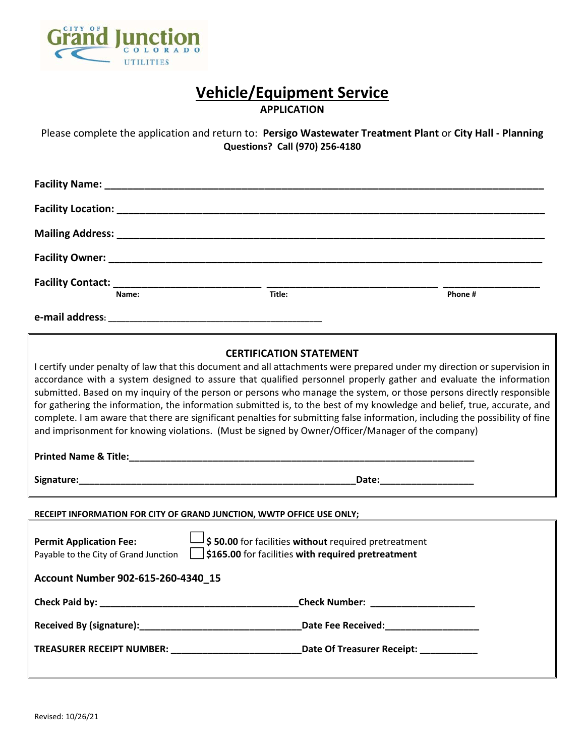

# **Vehicle/Equipment Service**

**APPLICATION** 

Please complete the application and return to: **Persigo Wastewater Treatment Plant** or **City Hall ‐ Planning Questions? Call (970) 256‐4180** 

| Facility Contact: $\frac{1}{2}$                                                                                                                                                                                                                                                                                                                                                                                                                                                                                                                                                                                                                                                                                                                                           |                                                                                                     | Phone #                                |  |  |  |  |
|---------------------------------------------------------------------------------------------------------------------------------------------------------------------------------------------------------------------------------------------------------------------------------------------------------------------------------------------------------------------------------------------------------------------------------------------------------------------------------------------------------------------------------------------------------------------------------------------------------------------------------------------------------------------------------------------------------------------------------------------------------------------------|-----------------------------------------------------------------------------------------------------|----------------------------------------|--|--|--|--|
|                                                                                                                                                                                                                                                                                                                                                                                                                                                                                                                                                                                                                                                                                                                                                                           |                                                                                                     |                                        |  |  |  |  |
| <b>CERTIFICATION STATEMENT</b><br>I certify under penalty of law that this document and all attachments were prepared under my direction or supervision in<br>accordance with a system designed to assure that qualified personnel properly gather and evaluate the information<br>submitted. Based on my inquiry of the person or persons who manage the system, or those persons directly responsible<br>for gathering the information, the information submitted is, to the best of my knowledge and belief, true, accurate, and<br>complete. I am aware that there are significant penalties for submitting false information, including the possibility of fine<br>and imprisonment for knowing violations. (Must be signed by Owner/Officer/Manager of the company) |                                                                                                     |                                        |  |  |  |  |
|                                                                                                                                                                                                                                                                                                                                                                                                                                                                                                                                                                                                                                                                                                                                                                           |                                                                                                     |                                        |  |  |  |  |
| RECEIPT INFORMATION FOR CITY OF GRAND JUNCTION, WWTP OFFICE USE ONLY;                                                                                                                                                                                                                                                                                                                                                                                                                                                                                                                                                                                                                                                                                                     |                                                                                                     |                                        |  |  |  |  |
| \$50.00 for facilities without required pretreatment<br><b>Permit Application Fee:</b><br>\$165.00 for facilities with required pretreatment<br>Payable to the City of Grand Junction                                                                                                                                                                                                                                                                                                                                                                                                                                                                                                                                                                                     |                                                                                                     |                                        |  |  |  |  |
| Account Number 902-615-260-4340_15                                                                                                                                                                                                                                                                                                                                                                                                                                                                                                                                                                                                                                                                                                                                        |                                                                                                     |                                        |  |  |  |  |
| Check Paid by:                                                                                                                                                                                                                                                                                                                                                                                                                                                                                                                                                                                                                                                                                                                                                            |                                                                                                     |                                        |  |  |  |  |
|                                                                                                                                                                                                                                                                                                                                                                                                                                                                                                                                                                                                                                                                                                                                                                           |                                                                                                     | Date Fee Received: ___________________ |  |  |  |  |
|                                                                                                                                                                                                                                                                                                                                                                                                                                                                                                                                                                                                                                                                                                                                                                           | TREASURER RECEIPT NUMBER: __________________________________Date Of Treasurer Receipt: ____________ |                                        |  |  |  |  |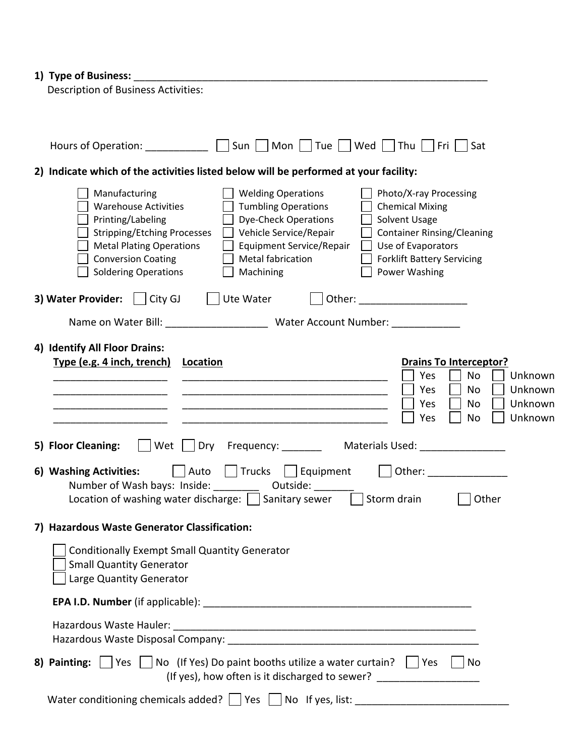# **1) Type of Business:** \_\_\_\_\_\_\_\_\_\_\_\_\_\_\_\_\_\_\_\_\_\_\_\_\_\_\_\_\_\_\_\_\_\_\_\_\_\_\_\_\_\_\_\_\_\_\_\_\_\_\_\_\_\_\_\_\_\_\_\_\_\_

| Hours of Operation: __________ [Sun   Mon   Tue   Wed   Thu   Fri   Sat                                                                                                                                                                                                                                                                                                                                                                                                                                                                                                                      |
|----------------------------------------------------------------------------------------------------------------------------------------------------------------------------------------------------------------------------------------------------------------------------------------------------------------------------------------------------------------------------------------------------------------------------------------------------------------------------------------------------------------------------------------------------------------------------------------------|
| 2) Indicate which of the activities listed below will be performed at your facility:                                                                                                                                                                                                                                                                                                                                                                                                                                                                                                         |
| Manufacturing<br><b>Welding Operations</b><br>Photo/X-ray Processing<br><b>Warehouse Activities</b><br><b>Tumbling Operations</b><br><b>Chemical Mixing</b><br>Printing/Labeling<br><b>Dye-Check Operations</b><br>Solvent Usage<br>$\Box$ Vehicle Service/Repair<br><b>Stripping/Etching Processes</b><br><b>Container Rinsing/Cleaning</b><br><b>Metal Plating Operations</b><br><b>Equipment Service/Repair</b><br>$\Box$ Use of Evaporators<br><b>Conversion Coating</b><br>Metal fabrication<br>Forklift Battery Servicing<br>Power Washing<br><b>Soldering Operations</b><br>Machining |
| <b>3) Water Provider:</b> $\begin{array}{ c c c c c c c c } \hline \end{array}$ ( Ute Water<br>    Other: _______________________                                                                                                                                                                                                                                                                                                                                                                                                                                                            |
| Name on Water Bill: _________________________ Water Account Number: ____________                                                                                                                                                                                                                                                                                                                                                                                                                                                                                                             |
| 4) Identify All Floor Drains:<br>Type (e.g. 4 inch, trench)<br><b>Drains To Interceptor?</b><br>Location<br>Yes<br>No<br>Unknown                                                                                                                                                                                                                                                                                                                                                                                                                                                             |
| No<br>Unknown<br>Yes                                                                                                                                                                                                                                                                                                                                                                                                                                                                                                                                                                         |
| Yes<br>No<br>Unknown                                                                                                                                                                                                                                                                                                                                                                                                                                                                                                                                                                         |
| Unknown<br>Yes<br>No                                                                                                                                                                                                                                                                                                                                                                                                                                                                                                                                                                         |
| 5) Floor Cleaning: Solution of the Unity Crequency: Community Materials Used: Community Creaming: Co                                                                                                                                                                                                                                                                                                                                                                                                                                                                                         |
| 6) Washing Activities: $\Box$ Auto $\Box$ Trucks $\Box$ Equipment $\Box$ Other:<br>Number of Wash bays: Inside: ____________ Outside: _________<br>Location of washing water discharge: $\Box$ Sanitary sewer $\Box$ Storm drain<br>Other                                                                                                                                                                                                                                                                                                                                                    |
| 7) Hazardous Waste Generator Classification:                                                                                                                                                                                                                                                                                                                                                                                                                                                                                                                                                 |
| <b>Conditionally Exempt Small Quantity Generator</b><br><b>Small Quantity Generator</b><br>Large Quantity Generator                                                                                                                                                                                                                                                                                                                                                                                                                                                                          |
|                                                                                                                                                                                                                                                                                                                                                                                                                                                                                                                                                                                              |
| Hazardous Waste Hauler:                                                                                                                                                                                                                                                                                                                                                                                                                                                                                                                                                                      |
| 8) Painting: $\vert \vert$ Yes $\vert \vert$ No (If Yes) Do paint booths utilize a water curtain? $\vert \vert$ Yes<br>No<br>(If yes), how often is it discharged to sewer? _________________________________                                                                                                                                                                                                                                                                                                                                                                                |
| Water conditioning chemicals added? Thes Tandal of yes, list: The Conditioning chemicals added? The Show If yes, list:                                                                                                                                                                                                                                                                                                                                                                                                                                                                       |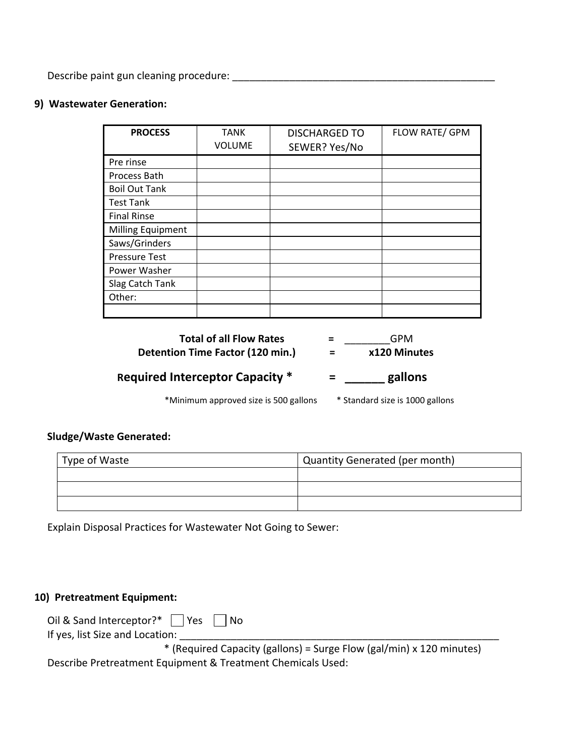Describe paint gun cleaning procedure: \_\_\_\_\_\_\_\_\_\_\_\_\_\_\_\_\_\_\_\_\_\_\_\_\_\_\_\_\_\_\_\_\_\_\_\_\_\_\_\_\_\_\_\_\_\_

# **9) Wastewater Generation:**

| <b>PROCESS</b>           | <b>TANK</b><br><b>VOLUME</b> | <b>DISCHARGED TO</b><br>SEWER? Yes/No | FLOW RATE/ GPM |
|--------------------------|------------------------------|---------------------------------------|----------------|
| Pre rinse                |                              |                                       |                |
| Process Bath             |                              |                                       |                |
| <b>Boil Out Tank</b>     |                              |                                       |                |
| <b>Test Tank</b>         |                              |                                       |                |
| <b>Final Rinse</b>       |                              |                                       |                |
| <b>Milling Equipment</b> |                              |                                       |                |
| Saws/Grinders            |                              |                                       |                |
| <b>Pressure Test</b>     |                              |                                       |                |
| Power Washer             |                              |                                       |                |
| Slag Catch Tank          |                              |                                       |                |
| Other:                   |                              |                                       |                |
|                          |                              |                                       |                |

| <b>Total of all Flow Rates</b>         | =   | GPM                             |
|----------------------------------------|-----|---------------------------------|
| Detention Time Factor (120 min.)       | ⋍   | x120 Minutes                    |
| <b>Required Interceptor Capacity *</b> | $=$ | gallons                         |
| *Minimum approved size is 500 gallons  |     | * Standard size is 1000 gallons |

#### **Sludge/Waste Generated:**

| Type of Waste | <b>Quantity Generated (per month)</b> |  |
|---------------|---------------------------------------|--|
|               |                                       |  |
|               |                                       |  |
|               |                                       |  |

Explain Disposal Practices for Wastewater Not Going to Sewer:

#### **10) Pretreatment Equipment:**

| Oil & Sand Interceptor?* $\Box$ Yes $\Box$ No |  |  |  |  |  |
|-----------------------------------------------|--|--|--|--|--|
|-----------------------------------------------|--|--|--|--|--|

If yes, list Size and Location: \_\_\_\_\_\_

 \* (Required Capacity (gallons) = Surge Flow (gal/min) x 120 minutes) Describe Pretreatment Equipment & Treatment Chemicals Used: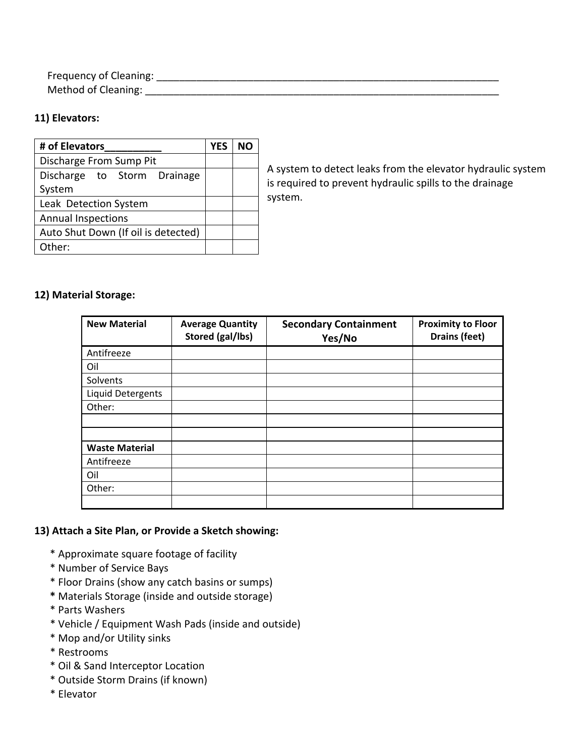Frequency of Cleaning: \_\_\_\_\_\_\_\_\_\_\_\_\_\_\_\_\_\_\_\_\_\_\_\_\_\_\_\_\_\_\_\_\_\_\_\_\_\_\_\_\_\_\_\_\_\_\_\_\_\_\_\_\_\_\_\_\_\_\_\_ Method of Cleaning: \_\_\_\_\_\_\_\_\_\_\_\_\_\_\_\_\_\_\_\_\_\_\_\_\_\_\_\_\_\_\_\_\_\_\_\_\_\_\_\_\_\_\_\_\_\_\_\_\_\_\_\_\_\_\_\_\_\_\_\_\_\_

## **11) Elevators:**

| # of Elevators                      | <b>YES</b> | NΟ |
|-------------------------------------|------------|----|
| Discharge From Sump Pit             |            |    |
| Discharge to Storm Drainage         |            |    |
| System                              |            |    |
| Leak Detection System               |            |    |
| <b>Annual Inspections</b>           |            |    |
| Auto Shut Down (If oil is detected) |            |    |
| Other:                              |            |    |

A system to detect leaks from the elevator hydraulic system is required to prevent hydraulic spills to the drainage system.

### **12) Material Storage:**

| <b>New Material</b>      | <b>Average Quantity</b><br>Stored (gal/lbs) | <b>Secondary Containment</b><br>Yes/No | <b>Proximity to Floor</b><br>Drains (feet) |
|--------------------------|---------------------------------------------|----------------------------------------|--------------------------------------------|
| Antifreeze               |                                             |                                        |                                            |
| Oil                      |                                             |                                        |                                            |
| Solvents                 |                                             |                                        |                                            |
| <b>Liquid Detergents</b> |                                             |                                        |                                            |
| Other:                   |                                             |                                        |                                            |
|                          |                                             |                                        |                                            |
|                          |                                             |                                        |                                            |
| <b>Waste Material</b>    |                                             |                                        |                                            |
| Antifreeze               |                                             |                                        |                                            |
| Oil                      |                                             |                                        |                                            |
| Other:                   |                                             |                                        |                                            |
|                          |                                             |                                        |                                            |

#### **13) Attach a Site Plan, or Provide a Sketch showing:**  n P

- \* Approximate square footage of facility
- \* Number of Service Bays
- \* Floor Drains (show any catch basins or sumps)
- **\*** Materials Storage (inside and outside storage)
- \* Parts Washers
- \* Vehicle / Equipment Wash Pads (inside and outside)
- \* Mop and/or Utility sinks
- \* Restrooms
- \* Oil & Sand Interceptor Location
- \* Outside Storm Drains (if known)
- \* Elevator